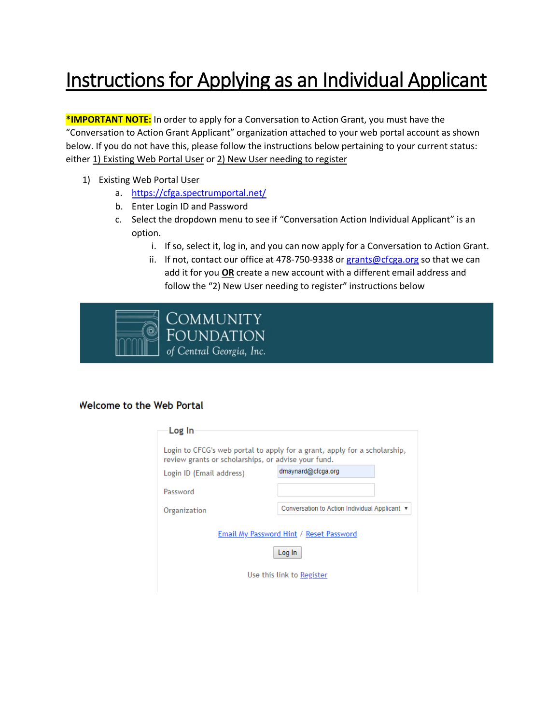## Instructions for Applying as an Individual Applicant

**\*IMPORTANT NOTE:** In order to apply for a Conversation to Action Grant, you must have the "Conversation to Action Grant Applicant" organization attached to your web portal account as shown below. If you do not have this, please follow the instructions below pertaining to your current status: either 1) Existing Web Portal User or 2) New User needing to register

- 1) Existing Web Portal User
	- a. <https://cfga.spectrumportal.net/>
	- b. Enter Login ID and Password
	- c. Select the dropdown menu to see if "Conversation Action Individual Applicant" is an option.
		- i. If so, select it, log in, and you can now apply for a Conversation to Action Grant.
		- ii. If not, contact our office at 478-750-9338 or [grants@cfcga.org](mailto:grants@cfcga.org) so that we can add it for you **OR** create a new account with a different email address and follow the "2) New User needing to register" instructions below



## **Welcome to the Web Portal**

| Log In                                                                                                                           |                                               |  |
|----------------------------------------------------------------------------------------------------------------------------------|-----------------------------------------------|--|
|                                                                                                                                  |                                               |  |
| Login to CFCG's web portal to apply for a grant, apply for a scholarship,<br>review grants or scholarships, or advise your fund. |                                               |  |
| Login ID (Email address)                                                                                                         | dmaynard@cfcga.org                            |  |
| Password                                                                                                                         |                                               |  |
| Organization                                                                                                                     | Conversation to Action Individual Applicant ▼ |  |
| Email My Password Hint / Reset Password<br>Log In                                                                                |                                               |  |
| Use this link to Register                                                                                                        |                                               |  |